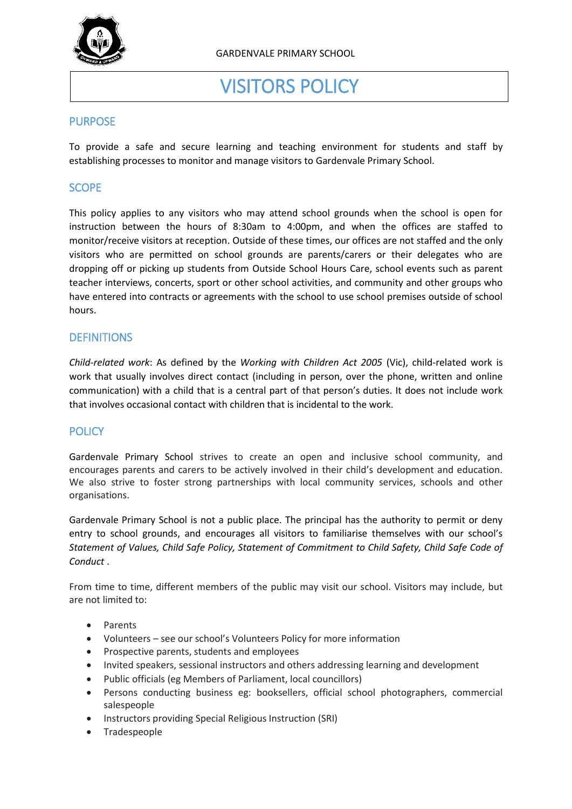

# VISITORS POLICY

# **PURPOSE**

To provide a safe and secure learning and teaching environment for students and staff by establishing processes to monitor and manage visitors to Gardenvale Primary School.

# **SCOPE**

This policy applies to any visitors who may attend school grounds when the school is open for instruction between the hours of 8:30am to 4:00pm, and when the offices are staffed to monitor/receive visitors at reception. Outside of these times, our offices are not staffed and the only visitors who are permitted on school grounds are parents/carers or their delegates who are dropping off or picking up students from Outside School Hours Care, school events such as parent teacher interviews, concerts, sport or other school activities, and community and other groups who have entered into contracts or agreements with the school to use school premises outside of school hours.

## **DEFINITIONS**

*Child-related work*: As defined by the *Working with Children Act 2005* (Vic), child-related work is work that usually involves direct contact (including in person, over the phone, written and online communication) with a child that is a central part of that person's duties. It does not include work that involves occasional contact with children that is incidental to the work.

# **POLICY**

Gardenvale Primary School strives to create an open and inclusive school community, and encourages parents and carers to be actively involved in their child's development and education. We also strive to foster strong partnerships with local community services, schools and other organisations.

Gardenvale Primary School is not a public place. The principal has the authority to permit or deny entry to school grounds, and encourages all visitors to familiarise themselves with our school's *Statement of Values, Child Safe Policy, Statement of Commitment to Child Safety, Child Safe Code of Conduct* .

From time to time, different members of the public may visit our school. Visitors may include, but are not limited to:

- Parents
- Volunteers see our school's Volunteers Policy for more information
- Prospective parents, students and employees
- Invited speakers, sessional instructors and others addressing learning and development
- Public officials (eg Members of Parliament, local councillors)
- Persons conducting business eg: booksellers, official school photographers, commercial salespeople
- Instructors providing Special Religious Instruction (SRI)
- Tradespeople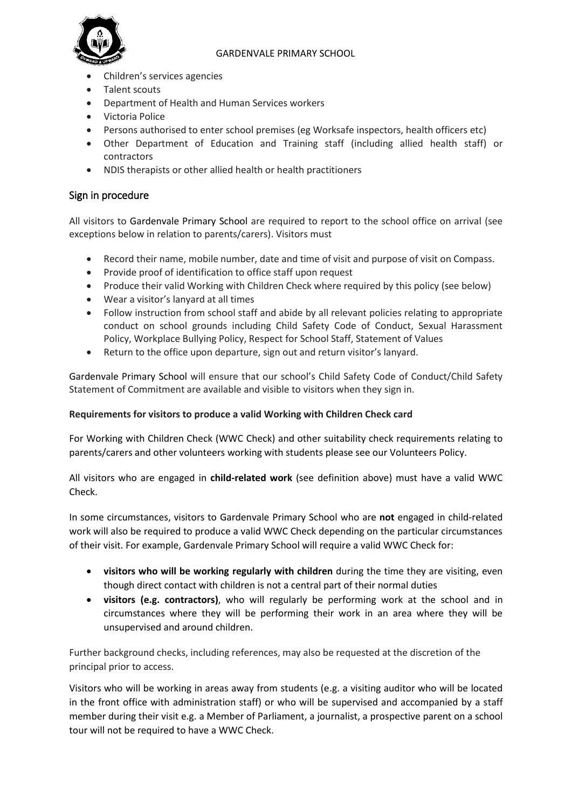### GARDENVALE PRIMARY SCHOOL



- Children's services agencies
- Talent scouts
- Department of Health and Human Services workers
- Victoria Police
- Persons authorised to enter school premises (eg Worksafe inspectors, health officers etc)
- Other Department of Education and Training staff (including allied health staff) or contractors
- NDIS therapists or other allied health or health practitioners

# Sign in procedure

All visitors to Gardenvale Primary School are required to report to the school office on arrival (see exceptions below in relation to parents/carers). Visitors must

- Record their name, mobile number, date and time of visit and purpose of visit on Compass.
- Provide proof of identification to office staff upon request
- Produce their valid Working with Children Check where required by this policy (see below)
- Wear a visitor's lanyard at all times
- Follow instruction from school staff and abide by all relevant policies relating to appropriate conduct on school grounds including Child Safety Code of Conduct, Sexual Harassment Policy, Workplace Bullying Policy, Respect for School Staff, Statement of Values
- Return to the office upon departure, sign out and return visitor's lanyard.

Gardenvale Primary School will ensure that our school's Child Safety Code of Conduct/Child Safety Statement of Commitment are available and visible to visitors when they sign in.

### **Requirements for visitors to produce a valid Working with Children Check card**

For Working with Children Check (WWC Check) and other suitability check requirements relating to parents/carers and other volunteers working with students please see our Volunteers Policy.

All visitors who are engaged in **child-related work** (see definition above) must have a valid WWC Check.

In some circumstances, visitors to Gardenvale Primary School who are **not** engaged in child-related work will also be required to produce a valid WWC Check depending on the particular circumstances of their visit. For example, Gardenvale Primary School will require a valid WWC Check for:

- **visitors who will be working regularly with children** during the time they are visiting, even though direct contact with children is not a central part of their normal duties
- **visitors (e.g. contractors)**, who will regularly be performing work at the school and in circumstances where they will be performing their work in an area where they will be unsupervised and around children.

Further background checks, including references, may also be requested at the discretion of the principal prior to access.

Visitors who will be working in areas away from students (e.g. a visiting auditor who will be located in the front office with administration staff) or who will be supervised and accompanied by a staff member during their visit e.g. a Member of Parliament, a journalist, a prospective parent on a school tour will not be required to have a WWC Check.